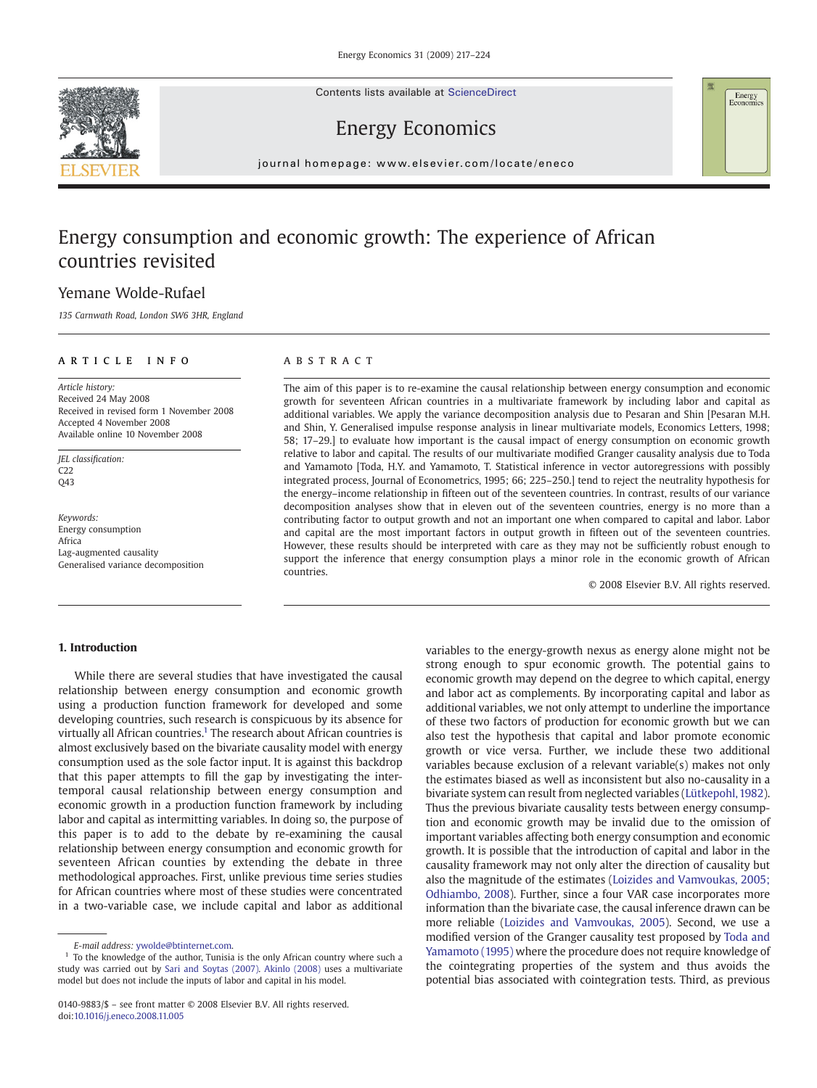Contents lists available at ScienceDirect





# Energy Economics

journal homepage: www.elsevier.com/locate/eneco

# Energy consumption and economic growth: The experience of African countries revisited

# Yemane Wolde-Rufael

135 Carnwath Road, London SW6 3HR, England

## article info abstract

Article history: Received 24 May 2008 Received in revised form 1 November 2008 Accepted 4 November 2008 Available online 10 November 2008

JEL classification: C22 Q43

Keywords: Energy consumption Africa Lag-augmented causality Generalised variance decomposition

The aim of this paper is to re-examine the causal relationship between energy consumption and economic growth for seventeen African countries in a multivariate framework by including labor and capital as additional variables. We apply the variance decomposition analysis due to Pesaran and Shin [Pesaran M.H. and Shin, Y. Generalised impulse response analysis in linear multivariate models, Economics Letters, 1998; 58; 17–29.] to evaluate how important is the causal impact of energy consumption on economic growth relative to labor and capital. The results of our multivariate modified Granger causality analysis due to Toda and Yamamoto [Toda, H.Y. and Yamamoto, T. Statistical inference in vector autoregressions with possibly integrated process, Journal of Econometrics, 1995; 66; 225–250.] tend to reject the neutrality hypothesis for the energy–income relationship in fifteen out of the seventeen countries. In contrast, results of our variance decomposition analyses show that in eleven out of the seventeen countries, energy is no more than a contributing factor to output growth and not an important one when compared to capital and labor. Labor and capital are the most important factors in output growth in fifteen out of the seventeen countries. However, these results should be interpreted with care as they may not be sufficiently robust enough to support the inference that energy consumption plays a minor role in the economic growth of African countries.

© 2008 Elsevier B.V. All rights reserved.

## 1. Introduction

While there are several studies that have investigated the causal relationship between energy consumption and economic growth using a production function framework for developed and some developing countries, such research is conspicuous by its absence for virtually all African countries.<sup>1</sup> The research about African countries is almost exclusively based on the bivariate causality model with energy consumption used as the sole factor input. It is against this backdrop that this paper attempts to fill the gap by investigating the intertemporal causal relationship between energy consumption and economic growth in a production function framework by including labor and capital as intermitting variables. In doing so, the purpose of this paper is to add to the debate by re-examining the causal relationship between energy consumption and economic growth for seventeen African counties by extending the debate in three methodological approaches. First, unlike previous time series studies for African countries where most of these studies were concentrated in a two-variable case, we include capital and labor as additional

variables to the energy-growth nexus as energy alone might not be strong enough to spur economic growth. The potential gains to economic growth may depend on the degree to which capital, energy and labor act as complements. By incorporating capital and labor as additional variables, we not only attempt to underline the importance of these two factors of production for economic growth but we can also test the hypothesis that capital and labor promote economic growth or vice versa. Further, we include these two additional variables because exclusion of a relevant variable(s) makes not only the estimates biased as well as inconsistent but also no-causality in a bivariate system can result from neglected variables ([Lütkepohl, 1982\)](#page--1-0). Thus the previous bivariate causality tests between energy consumption and economic growth may be invalid due to the omission of important variables affecting both energy consumption and economic growth. It is possible that the introduction of capital and labor in the causality framework may not only alter the direction of causality but also the magnitude of the estimates ([Loizides and Vamvoukas, 2005;](#page--1-0) [Odhiambo, 2008\)](#page--1-0). Further, since a four VAR case incorporates more information than the bivariate case, the causal inference drawn can be more reliable ([Loizides and Vamvoukas, 2005](#page--1-0)). Second, we use a modified version of the Granger causality test proposed by [Toda and](#page--1-0) [Yamamoto \(1995\)](#page--1-0) where the procedure does not require knowledge of the cointegrating properties of the system and thus avoids the potential bias associated with cointegration tests. Third, as previous

E-mail address: [ywolde@btinternet.com.](mailto:ywolde@btinternet.com)

<sup>&</sup>lt;sup>1</sup> To the knowledge of the author, Tunisia is the only African country where such a study was carried out by [Sari and Soytas \(2007\).](#page--1-0) [Akinlo \(2008\)](#page--1-0) uses a multivariate model but does not include the inputs of labor and capital in his model.

<sup>0140-9883/\$</sup> – see front matter © 2008 Elsevier B.V. All rights reserved. doi:[10.1016/j.eneco.2008.11.005](http://dx.doi.org/10.1016/j.eneco.2008.11.005)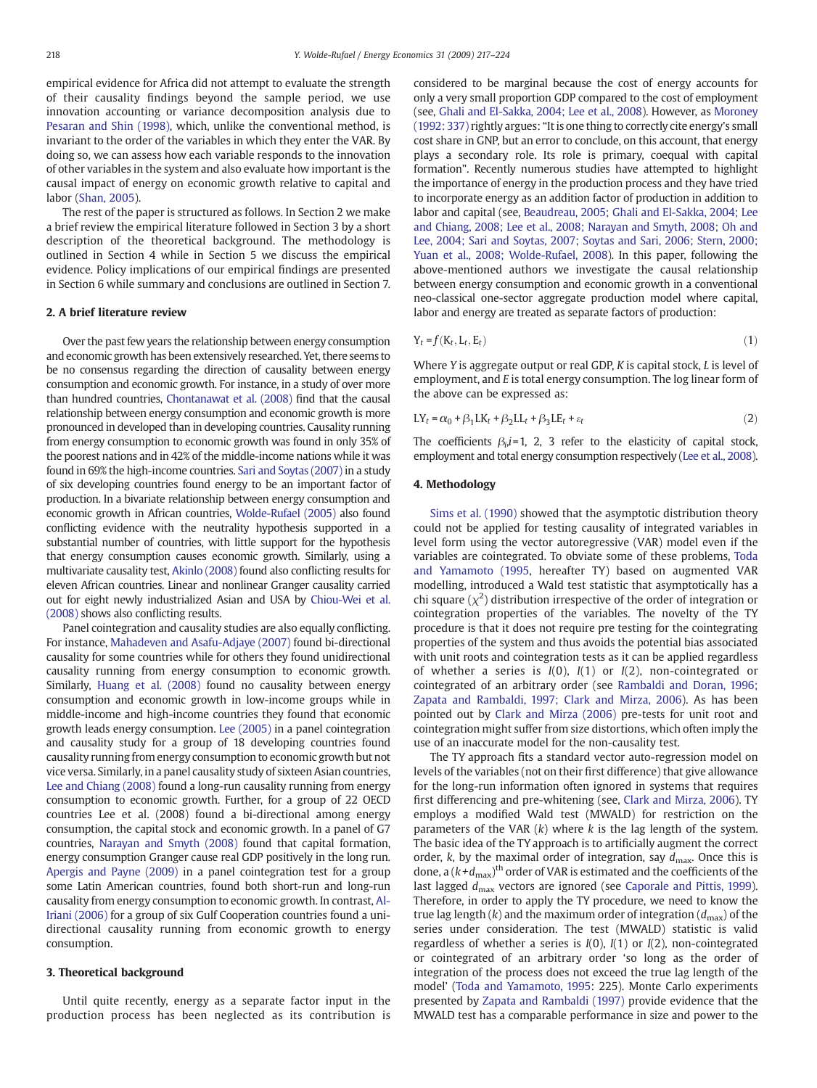empirical evidence for Africa did not attempt to evaluate the strength of their causality findings beyond the sample period, we use innovation accounting or variance decomposition analysis due to [Pesaran and Shin \(1998\),](#page--1-0) which, unlike the conventional method, is invariant to the order of the variables in which they enter the VAR. By doing so, we can assess how each variable responds to the innovation of other variables in the system and also evaluate how important is the causal impact of energy on economic growth relative to capital and labor ([Shan, 2005](#page--1-0)).

The rest of the paper is structured as follows. In Section 2 we make a brief review the empirical literature followed in Section 3 by a short description of the theoretical background. The methodology is outlined in Section 4 while in Section 5 we discuss the empirical evidence. Policy implications of our empirical findings are presented in Section 6 while summary and conclusions are outlined in Section 7.

### 2. A brief literature review

Over the past few years the relationship between energy consumption and economic growth has been extensively researched. Yet, there seems to be no consensus regarding the direction of causality between energy consumption and economic growth. For instance, in a study of over more than hundred countries, [Chontanawat et al. \(2008\)](#page--1-0) find that the causal relationship between energy consumption and economic growth is more pronounced in developed than in developing countries. Causality running from energy consumption to economic growth was found in only 35% of the poorest nations and in 42% of the middle-income nations while it was found in 69% the high-income countries. [Sari and Soytas \(2007\)](#page--1-0) in a study of six developing countries found energy to be an important factor of production. In a bivariate relationship between energy consumption and economic growth in African countries, [Wolde-Rufael \(2005\)](#page--1-0) also found conflicting evidence with the neutrality hypothesis supported in a substantial number of countries, with little support for the hypothesis that energy consumption causes economic growth. Similarly, using a multivariate causality test, [Akinlo \(2008\)](#page--1-0) found also conflicting results for eleven African countries. Linear and nonlinear Granger causality carried out for eight newly industrialized Asian and USA by [Chiou-Wei et al.](#page--1-0) [\(2008\)](#page--1-0) shows also conflicting results.

Panel cointegration and causality studies are also equally conflicting. For instance, [Mahadeven and Asafu-Adjaye \(2007\)](#page--1-0) found bi-directional causality for some countries while for others they found unidirectional causality running from energy consumption to economic growth. Similarly, [Huang et al. \(2008\)](#page--1-0) found no causality between energy consumption and economic growth in low-income groups while in middle-income and high-income countries they found that economic growth leads energy consumption. [Lee \(2005\)](#page--1-0) in a panel cointegration and causality study for a group of 18 developing countries found causality running from energy consumption to economic growth but not vice versa. Similarly, in a panel causality study of sixteen Asian countries, [Lee and Chiang \(2008\)](#page--1-0) found a long-run causality running from energy consumption to economic growth. Further, for a group of 22 OECD countries Lee et al. (2008) found a bi-directional among energy consumption, the capital stock and economic growth. In a panel of G7 countries, [Narayan and Smyth \(2008\)](#page--1-0) found that capital formation, energy consumption Granger cause real GDP positively in the long run. [Apergis and Payne \(2009\)](http://dx.doi.org/10.1016/j.eneco.2008.09.002) in a panel cointegration test for a group some Latin American countries, found both short-run and long-run causality from energy consumption to economic growth. In contrast, [Al-](#page--1-0)[Iriani \(2006\)](#page--1-0) for a group of six Gulf Cooperation countries found a unidirectional causality running from economic growth to energy consumption.

### 3. Theoretical background

Until quite recently, energy as a separate factor input in the production process has been neglected as its contribution is considered to be marginal because the cost of energy accounts for only a very small proportion GDP compared to the cost of employment (see, [Ghali and El-Sakka, 2004; Lee et al., 2008](#page--1-0)). However, as [Moroney](#page--1-0) [\(1992: 337\)](#page--1-0) rightly argues: "It is one thing to correctly cite energy's small cost share in GNP, but an error to conclude, on this account, that energy plays a secondary role. Its role is primary, coequal with capital formation". Recently numerous studies have attempted to highlight the importance of energy in the production process and they have tried to incorporate energy as an addition factor of production in addition to labor and capital (see, [Beaudreau, 2005; Ghali and El-Sakka, 2004; Lee](#page--1-0) [and Chiang, 2008; Lee et al., 2008; Narayan and Smyth, 2008; Oh and](#page--1-0) [Lee, 2004; Sari and Soytas, 2007; Soytas and Sari, 2006; Stern, 2000;](#page--1-0) [Yuan et al., 2008; Wolde-Rufael, 2008](#page--1-0)). In this paper, following the above-mentioned authors we investigate the causal relationship between energy consumption and economic growth in a conventional neo-classical one-sector aggregate production model where capital, labor and energy are treated as separate factors of production:

$$
Y_t = f(K_t, L_t, E_t) \tag{1}
$$

Where Y is aggregate output or real GDP, K is capital stock, L is level of employment, and E is total energy consumption. The log linear form of the above can be expressed as:

$$
LY_t = \alpha_0 + \beta_1 LK_t + \beta_2 LL_t + \beta_3 LE_t + \varepsilon_t
$$
\n(2)

The coefficients  $\beta_i$ *i*=1, 2, 3 refer to the elasticity of capital stock, employment and total energy consumption respectively ([Lee et al., 2008](#page--1-0)).

## 4. Methodology

[Sims et al. \(1990\)](#page--1-0) showed that the asymptotic distribution theory could not be applied for testing causality of integrated variables in level form using the vector autoregressive (VAR) model even if the variables are cointegrated. To obviate some of these problems, [Toda](#page--1-0) [and Yamamoto \(1995,](#page--1-0) hereafter TY) based on augmented VAR modelling, introduced a Wald test statistic that asymptotically has a chi square  $(\chi^2)$  distribution irrespective of the order of integration or cointegration properties of the variables. The novelty of the TY procedure is that it does not require pre testing for the cointegrating properties of the system and thus avoids the potential bias associated with unit roots and cointegration tests as it can be applied regardless of whether a series is  $I(0)$ ,  $I(1)$  or  $I(2)$ , non-cointegrated or cointegrated of an arbitrary order (see [Rambaldi and Doran, 1996;](#page--1-0) [Zapata and Rambaldi, 1997; Clark and Mirza, 2006](#page--1-0)). As has been pointed out by [Clark and Mirza \(2006\)](#page--1-0) pre-tests for unit root and cointegration might suffer from size distortions, which often imply the use of an inaccurate model for the non-causality test.

The TY approach fits a standard vector auto-regression model on levels of the variables (not on their first difference) that give allowance for the long-run information often ignored in systems that requires first differencing and pre-whitening (see, [Clark and Mirza, 2006\)](#page--1-0). TY employs a modified Wald test (MWALD) for restriction on the parameters of the VAR  $(k)$  where k is the lag length of the system. The basic idea of the TY approach is to artificially augment the correct order, k, by the maximal order of integration, say  $d_{\text{max}}$ . Once this is done, a  $(k+d_{\text{max}})^{\text{th}}$  order of VAR is estimated and the coefficients of the last lagged  $d_{\text{max}}$  vectors are ignored (see [Caporale and Pittis, 1999](#page--1-0)). Therefore, in order to apply the TY procedure, we need to know the true lag length  $(k)$  and the maximum order of integration  $(d_{\text{max}})$  of the series under consideration. The test (MWALD) statistic is valid regardless of whether a series is  $I(0)$ ,  $I(1)$  or  $I(2)$ , non-cointegrated or cointegrated of an arbitrary order 'so long as the order of integration of the process does not exceed the true lag length of the model' ([Toda and Yamamoto, 1995:](#page--1-0) 225). Monte Carlo experiments presented by [Zapata and Rambaldi \(1997\)](#page--1-0) provide evidence that the MWALD test has a comparable performance in size and power to the